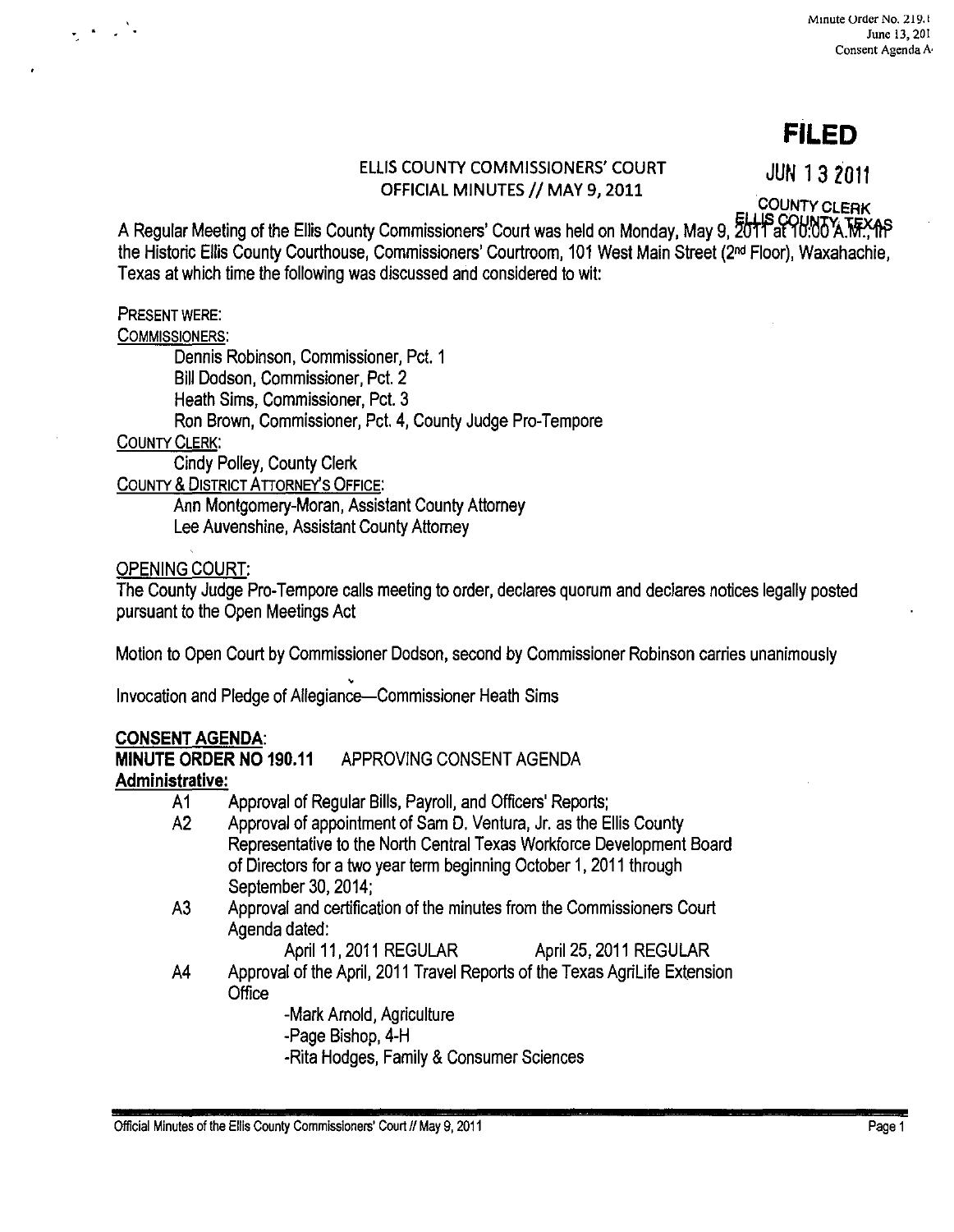# **FILED**

# ELLIS COUNTY COMMISSIONERS' COURT **JUN 13 2011**  OFFICIAL MINUTES // MAY 9, 2011

COUNTY CLERK

A Regular Meeting of the Ellis County Commissioners' Court was held on Monday, May 9, 2011 at 10:00 A.M. 1P the Historic Ellis County Courthouse, Commissioners' Courtroom, 101 West Main Street (2nd Floor), Waxahachie, Texas at which time the following was discussed and considered to wit:

# PRESENT WERE:

 $\mathcal{L} \leftarrow \mathcal{L}$ 

COMMISSIONERS:

Dennis Robinson, Commissioner, Pct. 1 Bill Dodson, Commissioner, Pcl. 2 Heath Sims, Commissioner, Pct. 3 Ron Brown, Commissioner, Pel. 4, County Judge Pro-Tempore

# COUNTY CLERK:

Cindy Polley, County Clerk

COUNTY & DISTRICT ATTORNEY'S OFFICE:

Ann Montgomery-Moran, Assistant County Attorney Lee Auvenshine, Assistant County Attorney

# OPENING COURT:

The County Judge Pro-Tempore calls meeting to order, declares quorum and declares notices legally posted pursuant to the Open Meetings Act

Motion to Open Court by Commissioner Dodson, second by Commissioner Robinson carries unanimously

• Invocation and Pledge of Allegiance-Commissioner Heath Sims

# **CONSENT AGENDA:**

**MINUTE ORDER NO 190.11** APPROVING CONSENT AGENDA **Administrative:** 

- A 1 Approval of Regular Bills, Payroll, and Officers' Reports;
- A2 Approval of appointment of Sam D. Ventura, Jr. as the Ellis County Representative to the North Central Texas Workforce Development Board of Directors for a two year term beginning October 1, 2011 through September 30, 2014;
- A3 Approval and certification of the minutes from the Commissioners Court Agenda dated:

April 11, 2011 REGULAR April 25, 2011 REGULAR

A4 Approval of the April, 2011 Travel Reports of the Texas AgriLife Extension **Office** 

> -Mark Arnold, Agriculture -Page Bishop, 4-H -Rita Hodges, Family & Consumer Sciences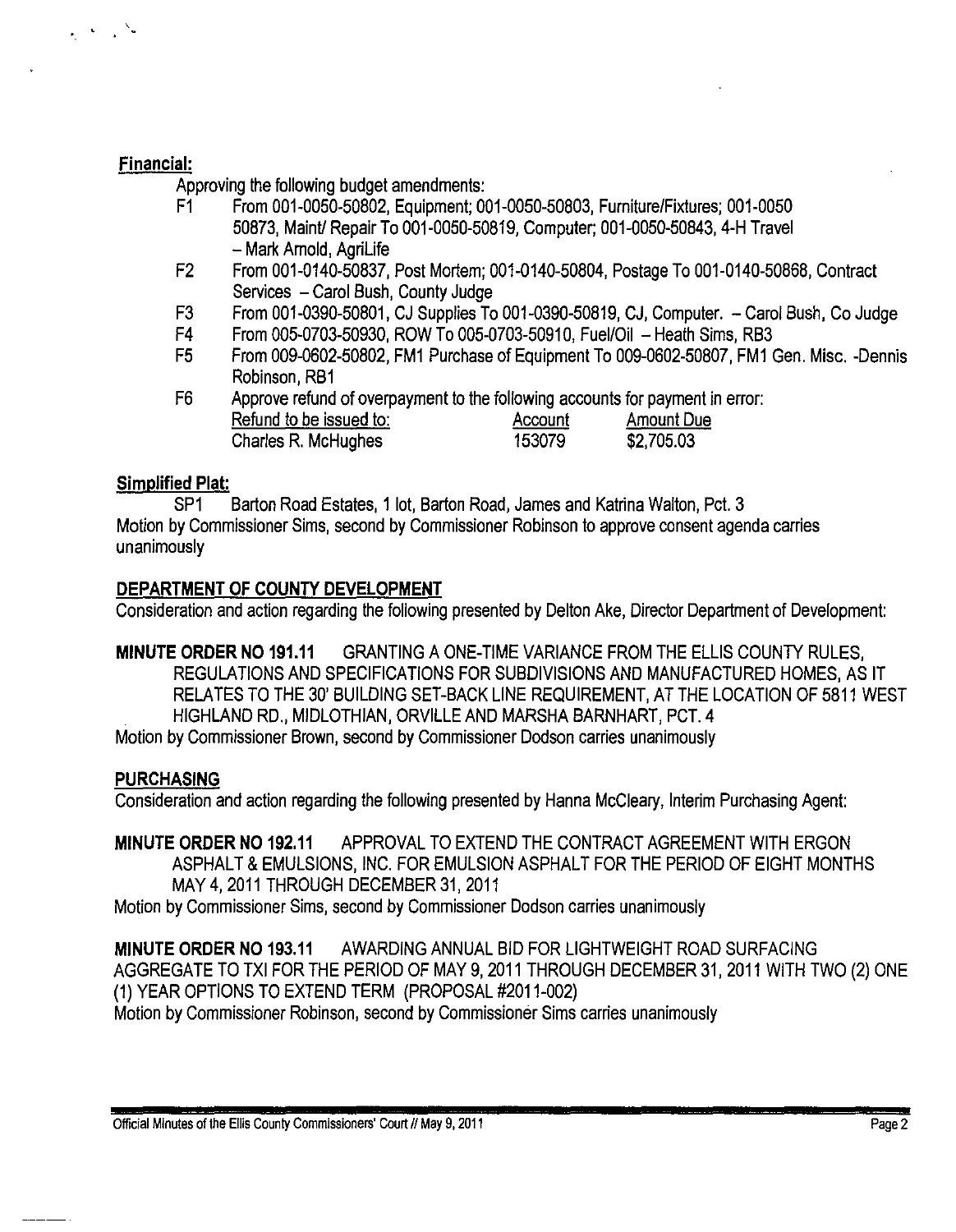#### Financial:

'.

Approving the following budget amendments:

- F1 From 001-0050-50802, Equipment; 001-0050-50803, Furniture/Fixtures; 001-0050 50873, Maintl Repair To 001-0050-50819, Computer; 001-0050-50843, 4-H Travel - Mark Arnold, AgriLife
- F2 From 001-0140-50837, Post Mortem; 001-0140-50804, Postage To 001-0140-50868, Contract Services - Carol Bush, County Judge
- F3 From 001-0390-50801, CJ Supplies To 001-0390-50819, CJ, Computer. Carol Bush, Co Judge
- F4 From 005-0703-50930, ROW To 005-0703-50910, Fuel/Oil Heath Sims, RB3
- F5 From 009-0602-50802, FM1 Purchase of Equipment To 009-0602-50807, FM1 Gen. Misc. -Dennis Robinson, RB1
- F6 Approve refund of overpayment to the following accounts for payment in error: Refund to be issued to: Account Amount Due Charles R. McHughes 153079 \$2,705.03

# Simplified Plat:

SP1 Barton Road Estates, 1 lot, Barton Road, James and Katrina Walton, Pct. 3 Motion by Commissioner Sims, second by Commissioner Robinson to approve consent agenda carries unanimously

# DEPARTMENT OF COUNTY DEVELOPMENT

Consideration and action regarding the following presented by Delton Ake, Director Department of Development:

MINUTE ORDER NO 191.11 GRANTING A ONE-TIME VARIANCE FROM THE ELLIS COUNTY RULES, REGULATIONS AND SPECIFICATIONS FOR SUBDIVISIONS AND MANUFACTURED HOMES, AS IT RELATES TO THE 30' BUILDING SET-BACK LINE REQUIREMENT, AT THE LOCATION OF 5811 WEST HIGHLAND RD., MIDLOTHIAN, ORVILLE AND MARSHA BARNHART, PCT.4

Motion by Commissioner Brown, second by Commissioner Dodson carries unanimously

# **PURCHASING**

Consideration and action regarding the following presented by Hanna McCleary, Interim Purchasing Agent:

MINUTE ORDER NO 192.11 APPROVAL TO EXTEND THE CONTRACT AGREEMENT WITH ERGON ASPHALT & EMULSIONS, INC. FOR EMULSION ASPHALT FOR THE PERIOD OF EIGHT MONTHS MAY 4, 2011 THROUGH DECEMBER 31, 2011

Motion by Commissioner Sims, second by Commissioner Dodson carries unanimously

MINUTE ORDER NO 193.11 AWARDING ANNUAL BID FOR LIGHTWEIGHT ROAD SURFACING AGGREGATE TO TXI FOR THE PERIOD OF MAY 9, 2011 THROUGH DECEMBER 31, 2011 WITH TWO (2) ONE (1) YEAR OPTIONS TO EXTEND TERM (PROPOSAL #2011-002) Motion by Commissioner Robinson, second by Commissioner Sims carries unanimously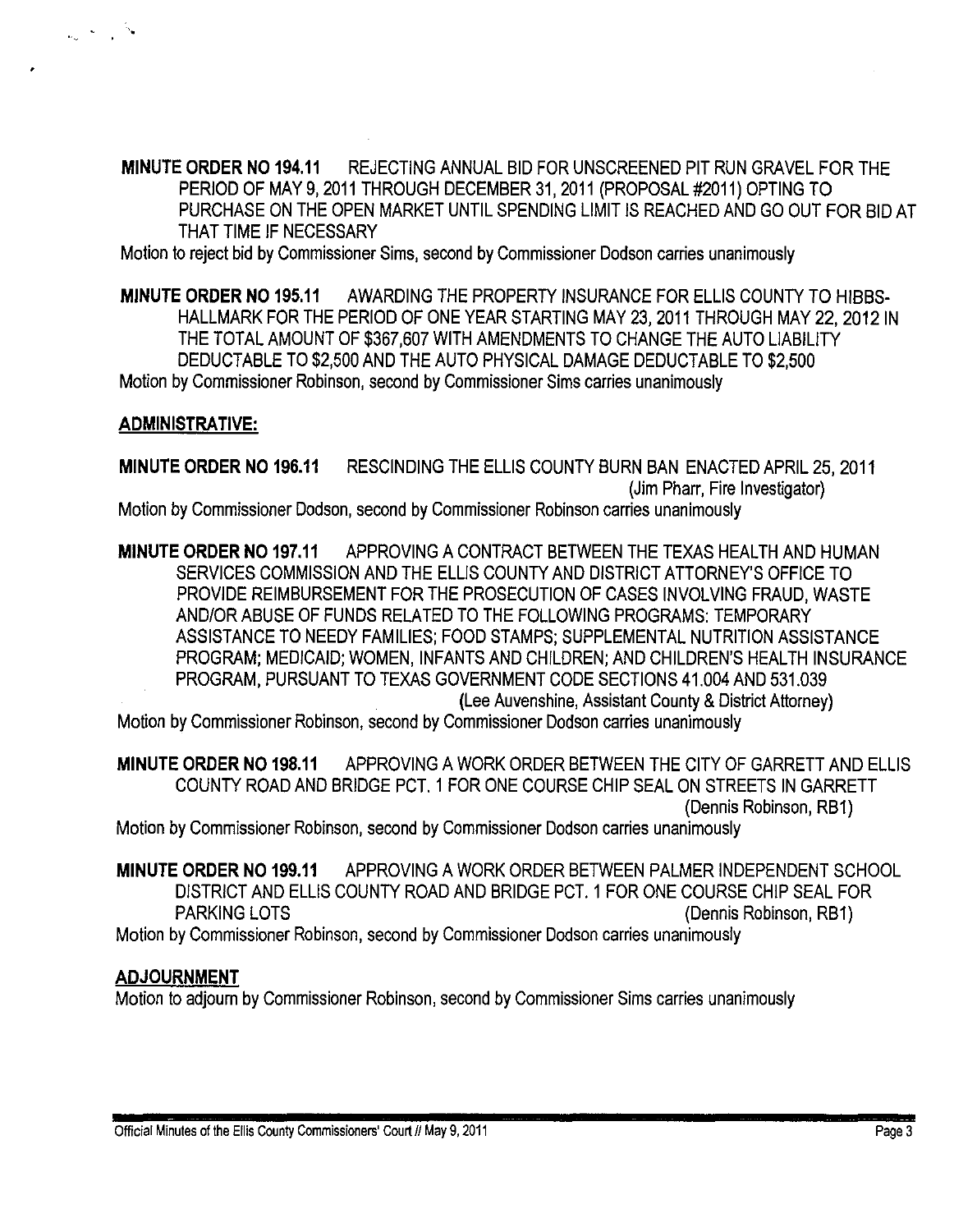MINUTE ORDER NO 194.11 REJECTING ANNUAL BID FOR UNSCREENED PIT RUN GRAVEL FOR THE PERIOD OF MAY 9, 2011 THROUGH DECEMBER 31, 2011 (PROPOSAL #2011) OPTING TO PURCHASE ON THE OPEN MARKET UNTIL SPENDING LIMIT IS REACHED AND GO OUT FOR BID AT THAT TIME IF NECESSARY

Motion to reject bid by Commissioner Sims, second by Commissioner Dodson carries unanimously

MINUTE ORDER NO 195.11 AWARDING THE PROPERTY INSURANCE FOR ELLIS COUNTY TO HIBBS-HALLMARK FOR THE PERIOD OF ONE YEAR STARTING MAY 23,2011 THROUGH MAY 22, 2012 IN THE TOTAL AMOUNT OF \$367,607 WITH AMENDMENTS TO CHANGE THE AUTO LIABILITY DEDUCTABLE TO \$2,500 AND THE AUTO PHYSICAL DAMAGE DEDUCTABLE TO \$2,500 Motion by Commissioner Robinson, second by Commissioner Sims carries unanimously

# ADMINISTRATIVE:

'.

MINUTE ORDER NO 196.11 RESCINDING THE ELLIS COUNTY BURN BAN ENACTED APRIL 25,2011 (Jim Pharr, Fire Investigator) Motion by Commissioner Dodson, second by Commissioner Robinson carries unanimously

MINUTE ORDER NO 197.11 APPROVING A CONTRACT BETWEEN THE TEXAS HEALTH AND HUMAN SERVICES COMMISSION AND THE ELLIS COUNTY AND DISTRICT ATTORNEY'S OFFICE TO PROVIDE REIMBURSEMENT FOR THE PROSECUTION OF CASES INVOLVING FRAUD, WASTE AND/OR ABUSE OF FUNDS RELATED TO THE FOLLOWING PROGRAMS: TEMPORARY ASSISTANCE TO NEEDY FAMILIES; FOOD STAMPS; SUPPLEMENTAL NUTRITION ASSISTANCE PROGRAM; MEDICAID; WOMEN, INFANTS AND CHILDREN; AND CHILDREN'S HEALTH INSURANCE PROGRAM, PURSUANT TO TEXAS GOVERNMENT CODE SECTIONS 41.004 AND 531.039 (Lee Auvenshine, Assistant County & District Attorney)

Motion by Commissioner Robinson, second by Commissioner Dodson carries unanimously

MINUTE ORDER NO 198.11 APPROVING A WORK ORDER BETWEEN THE CITY OF GARRETT AND ELLIS COUNTY ROAD AND BRIDGE PCT. 1 FOR ONE COURSE CHIP SEAL ON STREETS IN GARRETT (Dennis Robinson, RB1)

Motion by Commissioner Robinson, second by Commissioner Dodson carries unanimously

MINUTE ORDER NO 199.11 APPROVING A WORK ORDER BETWEEN PALMER INDEPENDENT SCHOOL DISTRICT AND ELLIS COUNTY ROAD AND BRIDGE PCT. 1 FOR ONE COURSE CHIP SEAL FOR PARKING LOTS (Dennis Robinson, RB1) Motion by Commissioner Robinson, second by Commissioner Dodson carries unanimously

# ADJOURNMENT

Motion to adjourn by Commissioner Robinson, second by Commissioner Sims carries unanimously